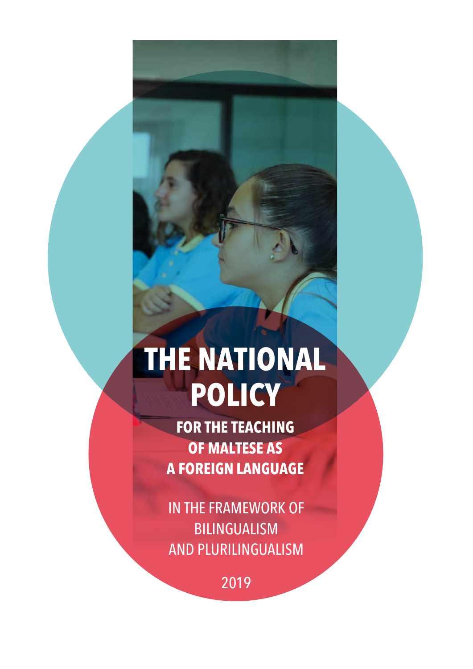# **THE NATIONAL POLICY**

**FOR THE TEACHING OF MALTESE AS A FOREIGN LANGUAGE**

IN THE FRAMEWORK OF BILINGUALISM AND PLURILINGUALISM

2019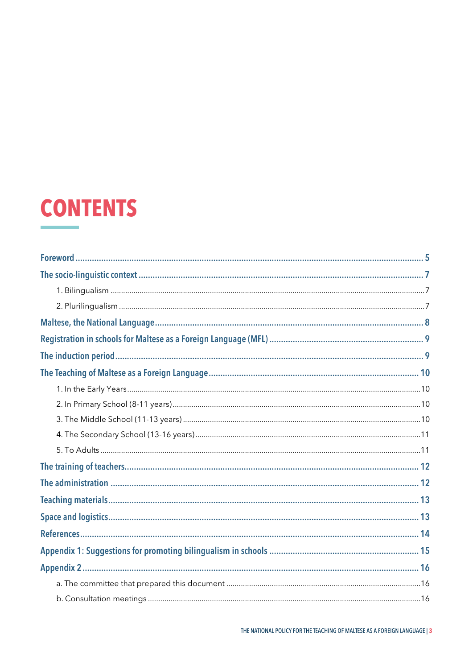#### **CONTENTS**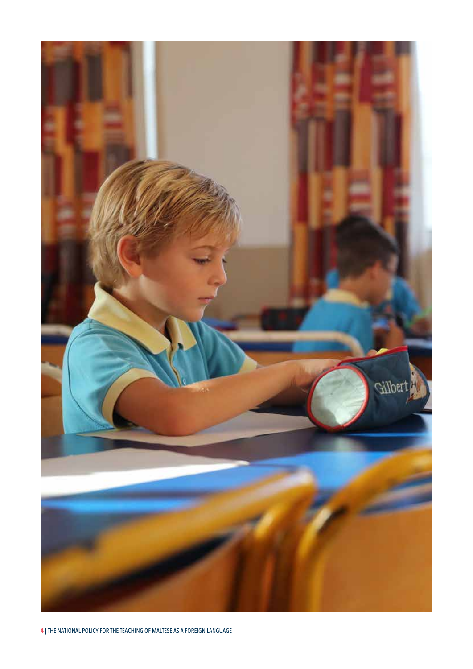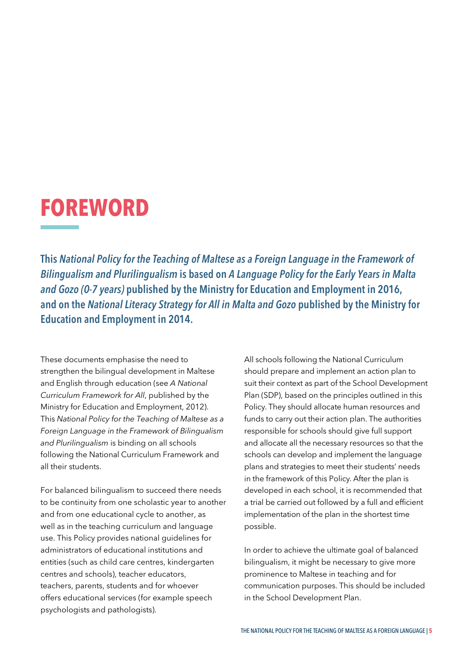### **FOREWORD**

This *National Policy for the Teaching of Maltese as a Foreign Language in the Framework of Bilingualism and Plurilingualism* is based on *A Language Policy for the Early Years in Malta and Gozo (0-7 years)* published by the Ministry for Education and Employment in 2016, and on the *National Literacy Strategy for All in Malta and Gozo* published by the Ministry for Education and Employment in 2014.

These documents emphasise the need to strengthen the bilingual development in Maltese and English through education (see *A National Curriculum Framework for All*, published by the Ministry for Education and Employment, 2012). This *National Policy for the Teaching of Maltese as a Foreign Language in the Framework of Bilingualism and Plurilingualism* is binding on all schools following the National Curriculum Framework and all their students.

For balanced bilingualism to succeed there needs to be continuity from one scholastic year to another and from one educational cycle to another, as well as in the teaching curriculum and language use. This Policy provides national guidelines for administrators of educational institutions and entities (such as child care centres, kindergarten centres and schools), teacher educators, teachers, parents, students and for whoever offers educational services (for example speech psychologists and pathologists).

All schools following the National Curriculum should prepare and implement an action plan to suit their context as part of the School Development Plan (SDP), based on the principles outlined in this Policy. They should allocate human resources and funds to carry out their action plan. The authorities responsible for schools should give full support and allocate all the necessary resources so that the schools can develop and implement the language plans and strategies to meet their students' needs in the framework of this Policy. After the plan is developed in each school, it is recommended that a trial be carried out followed by a full and efficient implementation of the plan in the shortest time possible.

In order to achieve the ultimate goal of balanced bilingualism, it might be necessary to give more prominence to Maltese in teaching and for communication purposes. This should be included in the School Development Plan.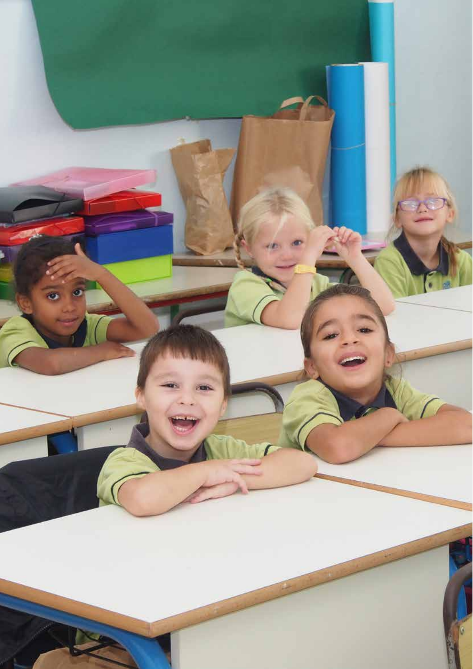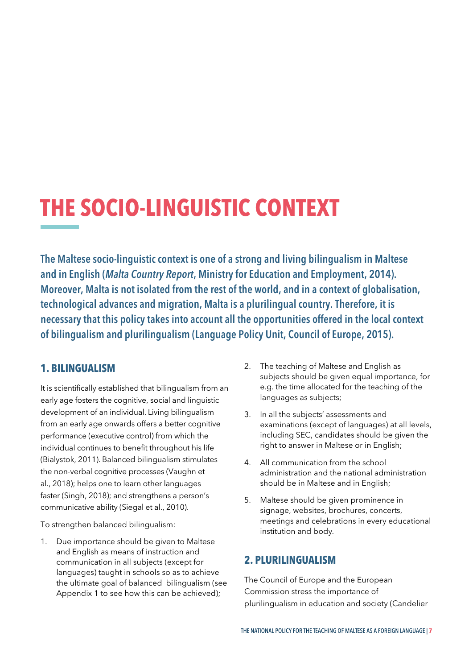### **THE SOCIO-LINGUISTIC CONTEXT**

The Maltese socio-linguistic context is one of a strong and living bilingualism in Maltese and in English (*Malta Country Report*, Ministry for Education and Employment, 2014). Moreover, Malta is not isolated from the rest of the world, and in a context of globalisation, technological advances and migration, Malta is a plurilingual country. Therefore, it is necessary that this policy takes into account all the opportunities offered in the local context of bilingualism and plurilingualism (Language Policy Unit, Council of Europe, 2015).

#### **1. BILINGUALISM**

It is scientifically established that bilingualism from an early age fosters the cognitive, social and linguistic development of an individual. Living bilingualism from an early age onwards offers a better cognitive performance (executive control) from which the individual continues to benefit throughout his life (Bialystok, 2011). Balanced bilingualism stimulates the non-verbal cognitive processes (Vaughn et al., 2018); helps one to learn other languages faster (Singh, 2018); and strengthens a person's communicative ability (Siegal et al., 2010).

To strengthen balanced bilingualism:

1. Due importance should be given to Maltese and English as means of instruction and communication in all subjects (except for languages) taught in schools so as to achieve the ultimate goal of balanced bilingualism (see Appendix 1 to see how this can be achieved);

- 2. The teaching of Maltese and English as subjects should be given equal importance, for e.g. the time allocated for the teaching of the languages as subjects;
- 3. In all the subjects' assessments and examinations (except of languages) at all levels, including SEC, candidates should be given the right to answer in Maltese or in English;
- 4. All communication from the school administration and the national administration should be in Maltese and in English;
- 5. Maltese should be given prominence in signage, websites, brochures, concerts, meetings and celebrations in every educational institution and body.

#### **2. PLURILINGUALISM**

The Council of Europe and the European Commission stress the importance of plurilingualism in education and society (Candelier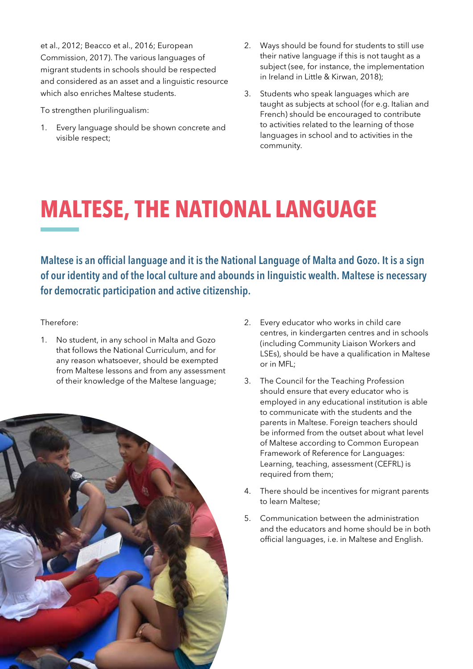et al., 2012; Beacco et al., 2016; European Commission, 2017). The various languages of migrant students in schools should be respected and considered as an asset and a linguistic resource which also enriches Maltese students.

To strengthen plurilingualism:

- 1. Every language should be shown concrete and visible respect;
- 2. Ways should be found for students to still use their native language if this is not taught as a subject (see, for instance, the implementation in Ireland in Little & Kirwan, 2018);
- 3. Students who speak languages which are taught as subjects at school (for e.g. Italian and French) should be encouraged to contribute to activities related to the learning of those languages in school and to activities in the community.

### **MALTESE, THE NATIONAL LANGUAGE**

Maltese is an official language and it is the National Language of Malta and Gozo. It is a sign of our identity and of the local culture and abounds in linguistic wealth. Maltese is necessary for democratic participation and active citizenship.

Therefore:

1. No student, in any school in Malta and Gozo that follows the National Curriculum, and for any reason whatsoever, should be exempted from Maltese lessons and from any assessment of their knowledge of the Maltese language;



- 2. Every educator who works in child care centres, in kindergarten centres and in schools (including Community Liaison Workers and LSEs), should be have a qualification in Maltese or in MFL;
- 3. The Council for the Teaching Profession should ensure that every educator who is employed in any educational institution is able to communicate with the students and the parents in Maltese. Foreign teachers should be informed from the outset about what level of Maltese according to Common European Framework of Reference for Languages: Learning, teaching, assessment (CEFRL) is required from them;
- 4. There should be incentives for migrant parents to learn Maltese;
- 5. Communication between the administration and the educators and home should be in both official languages, i.e. in Maltese and English.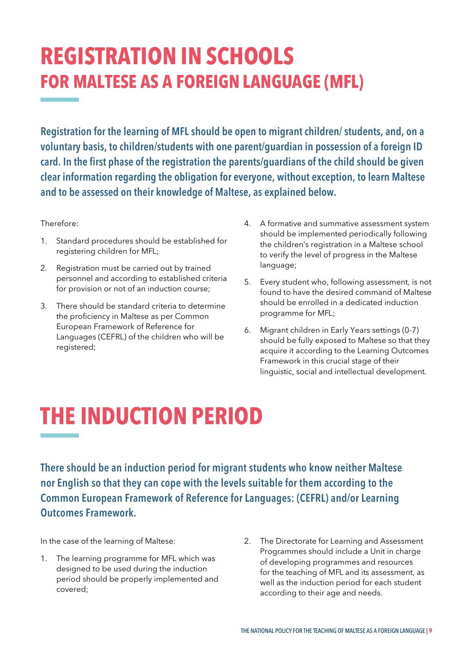### **REGISTRATION IN SCHOOLS FOR MALTESE AS A FOREIGN LANGUAGE (MFL)**

Registration for the learning of MFL should be open to migrant children/ students, and, on a voluntary basis, to children/students with one parent/guardian in possession of a foreign ID card. In the first phase of the registration the parents/guardians of the child should be given clear information regarding the obligation for everyone, without exception, to learn Maltese and to be assessed on their knowledge of Maltese, as explained below.

#### Therefore:

- 1. Standard procedures should be established for registering children for MFL;
- 2. Registration must be carried out by trained personnel and according to established criteria for provision or not of an induction course;
- 3. There should be standard criteria to determine the proficiency in Maltese as per Common European Framework of Reference for Languages (CEFRL) of the children who will be registered;
- 4. A formative and summative assessment system should be implemented periodically following the children's registration in a Maltese school to verify the level of progress in the Maltese language;
- 5. Every student who, following assessment, is not found to have the desired command of Maltese should be enrolled in a dedicated induction programme for MFL;
- 6. Migrant children in Early Years settings (0-7) should be fully exposed to Maltese so that they acquire it according to the Learning Outcomes Framework in this crucial stage of their linguistic, social and intellectual development.

### **THE INDUCTION PERIOD**

There should be an induction period for migrant students who know neither Maltese nor English so that they can cope with the levels suitable for them according to the Common European Framework of Reference for Languages: (CEFRL) and/or Learning Outcomes Framework.

In the case of the learning of Maltese:

- 1. The learning programme for MFL which was designed to be used during the induction period should be properly implemented and covered;
- 2. The Directorate for Learning and Assessment Programmes should include a Unit in charge of developing programmes and resources for the teaching of MFL and its assessment, as well as the induction period for each student according to their age and needs.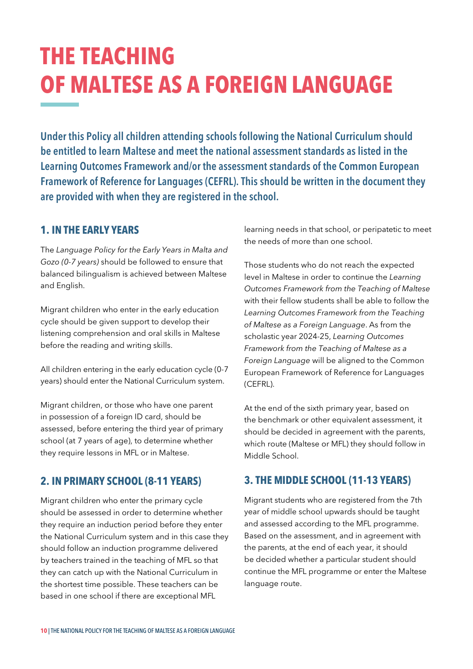### **THE TEACHING OF MALTESE AS A FOREIGN LANGUAGE**

Under this Policy all children attending schools following the National Curriculum should be entitled to learn Maltese and meet the national assessment standards as listed in the Learning Outcomes Framework and/or the assessment standards of the Common European Framework of Reference for Languages (CEFRL). This should be written in the document they are provided with when they are registered in the school.

#### **1. IN THE EARLY YEARS**

The *Language Policy for the Early Years in Malta and Gozo (0-7 years)* should be followed to ensure that balanced bilingualism is achieved between Maltese and English.

Migrant children who enter in the early education cycle should be given support to develop their listening comprehension and oral skills in Maltese before the reading and writing skills.

All children entering in the early education cycle (0-7 years) should enter the National Curriculum system.

Migrant children, or those who have one parent in possession of a foreign ID card, should be assessed, before entering the third year of primary school (at 7 years of age), to determine whether they require lessons in MFL or in Maltese.

#### **2. IN PRIMARY SCHOOL (8-11 YEARS)**

Migrant children who enter the primary cycle should be assessed in order to determine whether they require an induction period before they enter the National Curriculum system and in this case they should follow an induction programme delivered by teachers trained in the teaching of MFL so that they can catch up with the National Curriculum in the shortest time possible. These teachers can be based in one school if there are exceptional MFL

learning needs in that school, or peripatetic to meet the needs of more than one school.

Those students who do not reach the expected level in Maltese in order to continue the *Learning Outcomes Framework from the Teaching of Maltese* with their fellow students shall be able to follow the *Learning Outcomes Framework from the Teaching of Maltese as a Foreign Language*. As from the scholastic year 2024-25, *Learning Outcomes Framework from the Teaching of Maltese as a Foreign Language* will be aligned to the Common European Framework of Reference for Languages (CEFRL).

At the end of the sixth primary year, based on the benchmark or other equivalent assessment, it should be decided in agreement with the parents, which route (Maltese or MFL) they should follow in Middle School.

#### **3. THE MIDDLE SCHOOL (11-13 YEARS)**

Migrant students who are registered from the 7th year of middle school upwards should be taught and assessed according to the MFL programme. Based on the assessment, and in agreement with the parents, at the end of each year, it should be decided whether a particular student should continue the MFL programme or enter the Maltese language route.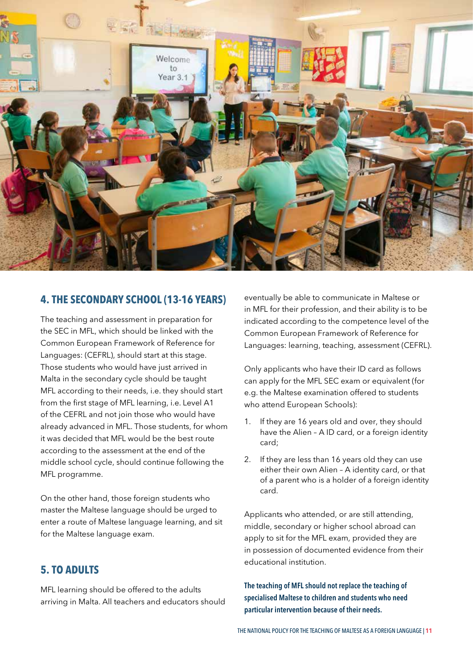

#### **4. THE SECONDARY SCHOOL (13-16 YEARS)**

The teaching and assessment in preparation for the SEC in MFL, which should be linked with the Common European Framework of Reference for Languages: (CEFRL), should start at this stage. Those students who would have just arrived in Malta in the secondary cycle should be taught MFL according to their needs, i.e. they should start from the first stage of MFL learning, i.e. Level A1 of the CEFRL and not join those who would have already advanced in MFL. Those students, for whom it was decided that MFL would be the best route according to the assessment at the end of the middle school cycle, should continue following the MFL programme.

On the other hand, those foreign students who master the Maltese language should be urged to enter a route of Maltese language learning, and sit for the Maltese language exam.

#### **5. TO ADULTS**

MFL learning should be offered to the adults arriving in Malta. All teachers and educators should eventually be able to communicate in Maltese or in MFL for their profession, and their ability is to be indicated according to the competence level of the Common European Framework of Reference for Languages: learning, teaching, assessment (CEFRL).

Only applicants who have their ID card as follows can apply for the MFL SEC exam or equivalent (for e.g. the Maltese examination offered to students who attend European Schools):

- 1. If they are 16 years old and over, they should have the Alien – A ID card, or a foreign identity card;
- 2. If they are less than 16 years old they can use either their own Alien – A identity card, or that of a parent who is a holder of a foreign identity card.

Applicants who attended, or are still attending, middle, secondary or higher school abroad can apply to sit for the MFL exam, provided they are in possession of documented evidence from their educational institution.

The teaching of MFL should not replace the teaching of specialised Maltese to children and students who need particular intervention because of their needs.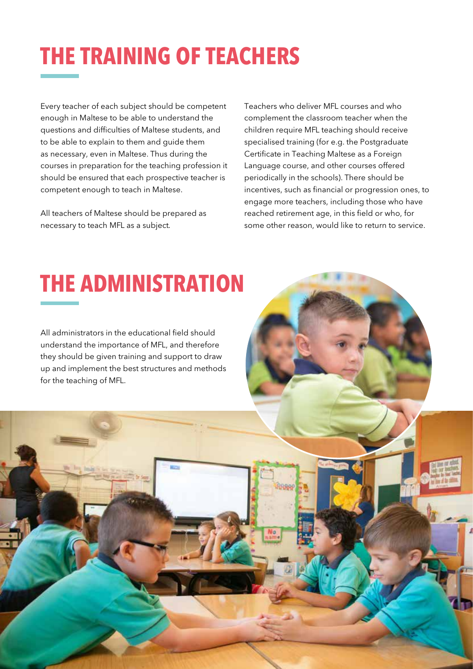## **THE TRAINING OF TEACHERS**

Every teacher of each subject should be competent enough in Maltese to be able to understand the questions and difficulties of Maltese students, and to be able to explain to them and guide them as necessary, even in Maltese. Thus during the courses in preparation for the teaching profession it should be ensured that each prospective teacher is competent enough to teach in Maltese.

All teachers of Maltese should be prepared as necessary to teach MFL as a subject.

Teachers who deliver MFL courses and who complement the classroom teacher when the children require MFL teaching should receive specialised training (for e.g. the Postgraduate Certificate in Teaching Maltese as a Foreign Language course, and other courses offered periodically in the schools). There should be incentives, such as financial or progression ones, to engage more teachers, including those who have reached retirement age, in this field or who, for some other reason, would like to return to service.

### **THE ADMINISTRATION**

All administrators in the educational field should understand the importance of MFL, and therefore they should be given training and support to draw up and implement the best structures and methods for the teaching of MFL.

**12** | THE NATIONAL POLICY FOR THE TEACHING OF MALTESE AS A FOREIGN LANGUAGE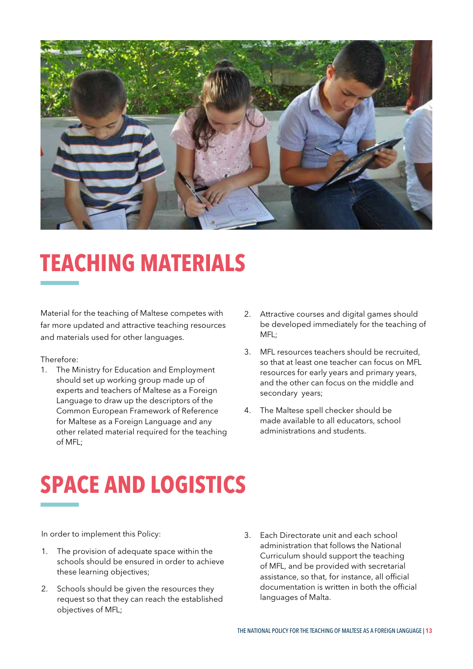

## **TEACHING MATERIALS**

Material for the teaching of Maltese competes with far more updated and attractive teaching resources and materials used for other languages.

Therefore:

- 1. The Ministry for Education and Employment should set up working group made up of experts and teachers of Maltese as a Foreign Language to draw up the descriptors of the Common European Framework of Reference for Maltese as a Foreign Language and any other related material required for the teaching of MFL;
- 2. Attractive courses and digital games should be developed immediately for the teaching of MFL;
- 3. MFL resources teachers should be recruited, so that at least one teacher can focus on MFL resources for early years and primary years, and the other can focus on the middle and secondary years;
- 4. The Maltese spell checker should be made available to all educators, school administrations and students.

## **SPACE AND LOGISTICS**

In order to implement this Policy:

- 1. The provision of adequate space within the schools should be ensured in order to achieve these learning objectives;
- 2. Schools should be given the resources they request so that they can reach the established objectives of MFL;
- 3. Each Directorate unit and each school administration that follows the National Curriculum should support the teaching of MFL, and be provided with secretarial assistance, so that, for instance, all official documentation is written in both the official languages of Malta.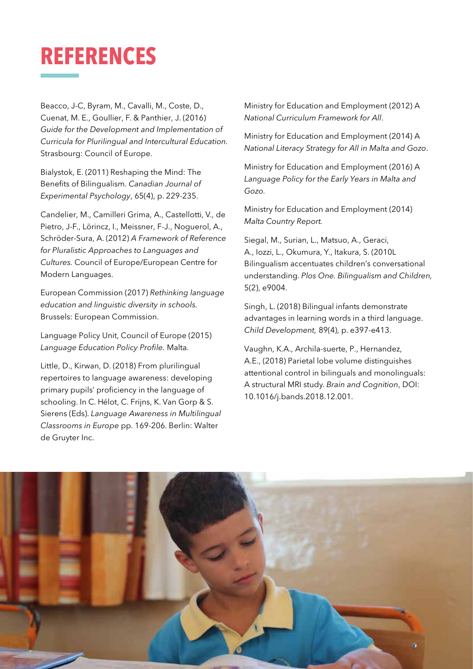### **REFERENCES**

Beacco, J-C, Byram, M., Cavalli, M., Coste, D., Cuenat, M. E., Goullier, F. & Panthier, J. (2016) *Guide for the Development and Implementation of Curricula for Plurilingual and Intercultural Education.* Strasbourg: Council of Europe.

Bialystok, E. (2011) Reshaping the Mind: The Benefits of Bilingualism. *Canadian Journal of Experimental Psychology*, 65(4), p. 229-235.

Candelier, M., Camilleri Grima, A., Castellotti, V., de Pietro, J-F., Lörincz, I., Meissner, F-J., Noguerol, A., Schröder-Sura, A. (2012) *A Framework of Reference for Pluralistic Approaches to Languages and Cultures.* Council of Europe/European Centre for Modern Languages.

European Commission (2017) *Rethinking language education and linguistic diversity in schools.* Brussels: European Commission.

Language Policy Unit, Council of Europe (2015) *Language Education Policy Profile.* Malta.

Little, D., Kirwan, D. (2018) From plurilingual repertoires to language awareness: developing primary pupils' proficiency in the language of schooling. In C. Hélot, C. Frijns, K. Van Gorp & S. Sierens (Eds). *Language Awareness in Multilingual Classrooms in Europe* pp. 169-206. Berlin: Walter de Gruyter Inc.

Ministry for Education and Employment (2012) A *National Curriculum Framework for All*.

Ministry for Education and Employment (2014) A *National Literacy Strategy for All in Malta and Gozo*.

Ministry for Education and Employment (2016) A *Language Policy for the Early Years in Malta and Gozo.* 

Ministry for Education and Employment (2014) *Malta Country Report.* 

Siegal, M., Surian, L., Matsuo, A., Geraci, A., Iozzi, L., Okumura, Y., Itakura, S. (2010L Bilingualism accentuates children's conversational understanding. *Plos One. Bilingualism and Children,* 5(2), e9004.

Singh, L. (2018) Bilingual infants demonstrate advantages in learning words in a third language. *Child Development,* 89(4), p. e397-e413.

Vaughn, K.A., Archila-suerte, P., Hernandez, A.E., (2018) Parietal lobe volume distinguishes attentional control in bilinguals and monolinguals: A structural MRI study. *Brain and Cognition*, DOI: 10.1016/j.bands.2018.12.001.

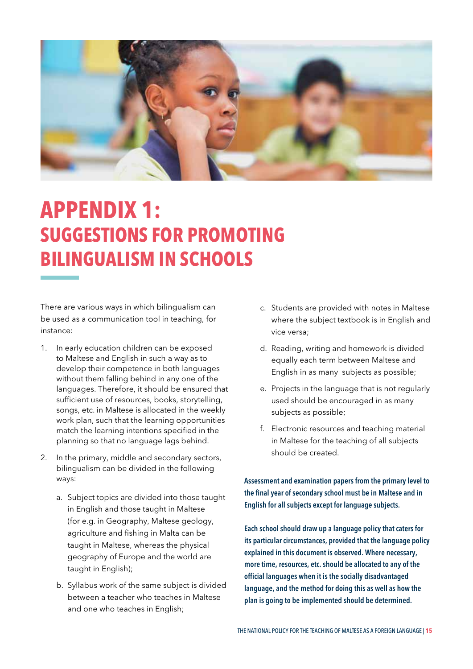

### **APPENDIX 1: SUGGESTIONS FOR PROMOTING BILINGUALISM IN SCHOOLS**

There are various ways in which bilingualism can be used as a communication tool in teaching, for instance:

- 1. In early education children can be exposed to Maltese and English in such a way as to develop their competence in both languages without them falling behind in any one of the languages. Therefore, it should be ensured that sufficient use of resources, books, storytelling, songs, etc. in Maltese is allocated in the weekly work plan, such that the learning opportunities match the learning intentions specified in the planning so that no language lags behind.
- 2. In the primary, middle and secondary sectors, bilingualism can be divided in the following ways:
	- a. Subject topics are divided into those taught in English and those taught in Maltese (for e.g. in Geography, Maltese geology, agriculture and fishing in Malta can be taught in Maltese, whereas the physical geography of Europe and the world are taught in English);
	- b. Syllabus work of the same subject is divided between a teacher who teaches in Maltese and one who teaches in English;
- c. Students are provided with notes in Maltese where the subject textbook is in English and vice versa;
- d. Reading, writing and homework is divided equally each term between Maltese and English in as many subjects as possible;
- e. Projects in the language that is not regularly used should be encouraged in as many subjects as possible;
- f. Electronic resources and teaching material in Maltese for the teaching of all subjects should be created.

Assessment and examination papers from the primary level to the final year of secondary school must be in Maltese and in English for all subjects except for language subjects.

Each school should draw up a language policy that caters for its particular circumstances, provided that the language policy explained in this document is observed. Where necessary, more time, resources, etc. should be allocated to any of the official languages when it is the socially disadvantaged language, and the method for doing this as well as how the plan is going to be implemented should be determined.